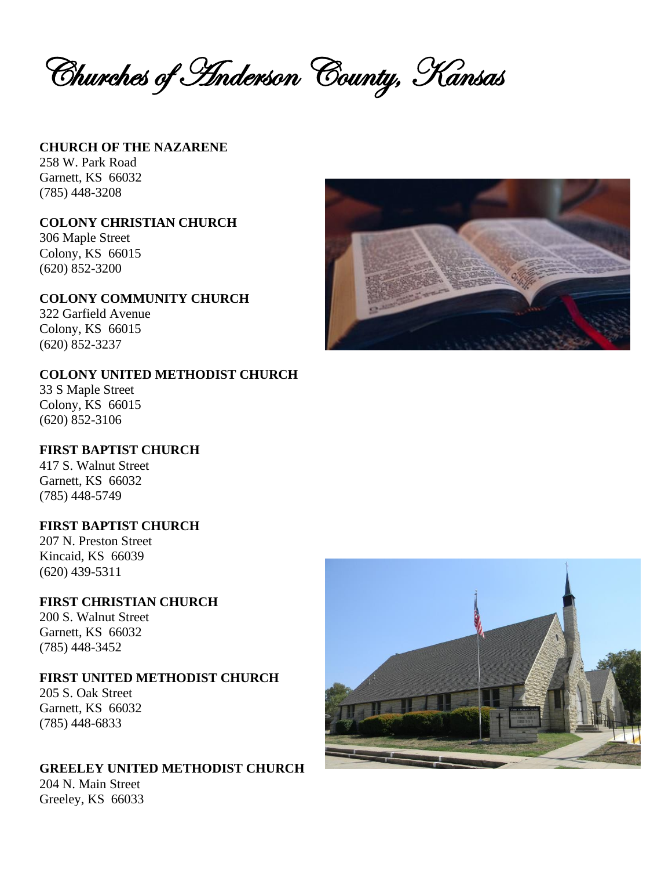Churches of Anderson County, Kansas

#### **CHURCH OF THE NAZARENE** 258 W. Park Road

Garnett, KS 66032 (785) 448-3208

#### **COLONY CHRISTIAN CHURCH**

306 Maple Street Colony, KS 66015 (620) 852-3200

#### **COLONY COMMUNITY CHURCH**

322 Garfield Avenue Colony, KS 66015 (620) 852-3237

### **COLONY UNITED METHODIST CHURCH**

33 S Maple Street Colony, KS 66015 (620) 852-3106

# **FIRST BAPTIST CHURCH**

417 S. Walnut Street Garnett, KS 66032 (785) 448-5749

#### **FIRST BAPTIST CHURCH**

207 N. Preston Street Kincaid, KS 66039 (620) 439-5311

### **FIRST CHRISTIAN CHURCH**

200 S. Walnut Street Garnett, KS 66032 (785) 448-3452

#### **FIRST UNITED METHODIST CHURCH**

205 S. Oak Street Garnett, KS 66032 (785) 448-6833

### **GREELEY UNITED METHODIST CHURCH**

204 N. Main Street Greeley, KS 66033



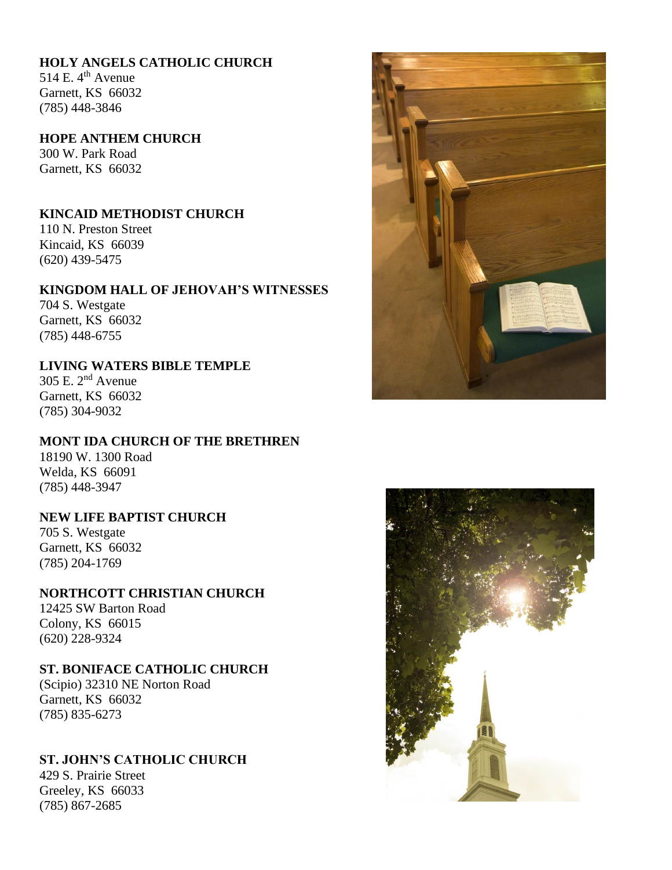### **HOLY ANGELS CATHOLIC CHURCH**

514 E.  $4^{\text{th}}$  Avenue Garnett, KS 66032 (785) 448-3846

#### **HOPE ANTHEM CHURCH**

300 W. Park Road Garnett, KS 66032

### **KINCAID METHODIST CHURCH**

110 N. Preston Street Kincaid, KS 66039 (620) 439-5475

#### **KINGDOM HALL OF JEHOVAH'S WITNESSES**

704 S. Westgate Garnett, KS 66032 (785) 448-6755

### **LIVING WATERS BIBLE TEMPLE**

305 E. 2nd Avenue Garnett, KS 66032 (785) 304-9032

#### **MONT IDA CHURCH OF THE BRETHREN**

18190 W. 1300 Road Welda, KS 66091 (785) 448-3947

#### **NEW LIFE BAPTIST CHURCH**

705 S. Westgate Garnett, KS 66032 (785) 204-1769

#### **NORTHCOTT CHRISTIAN CHURCH**

12425 SW Barton Road Colony, KS 66015 (620) 228-9324

#### **ST. BONIFACE CATHOLIC CHURCH**

(Scipio) 32310 NE Norton Road Garnett, KS 66032 (785) 835-6273

#### **ST. JOHN'S CATHOLIC CHURCH**

429 S. Prairie Street Greeley, KS 66033 (785) 867-2685